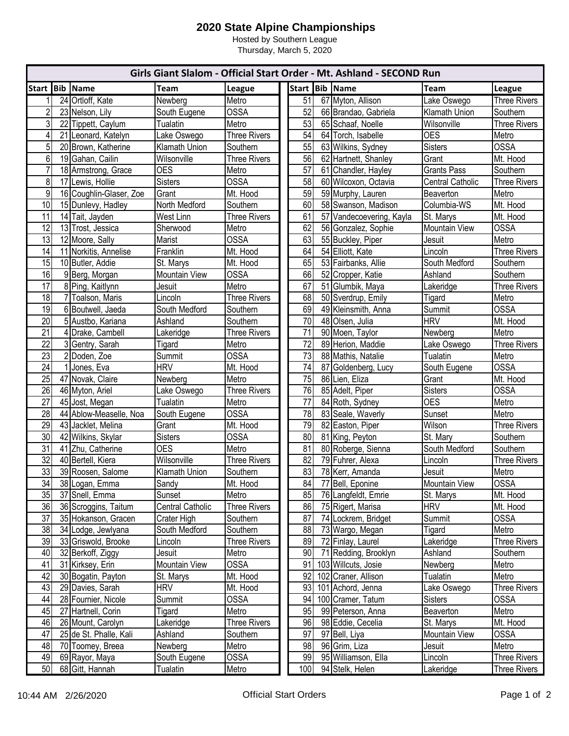## **2020 State Alpine Championships**

Hosted by Southern League Thursday, March 5, 2020

| Girls Giant Slalom - Official Start Order - Mt. Ashland - SECOND Run |    |                         |                      |                     |  |                 |  |                          |                         |                     |
|----------------------------------------------------------------------|----|-------------------------|----------------------|---------------------|--|-----------------|--|--------------------------|-------------------------|---------------------|
| Start Bib Name                                                       |    |                         | <b>Team</b>          | League              |  |                 |  | Start Bib Name           | Team                    | <b>League</b>       |
|                                                                      |    | 24 Ortloff, Kate        | Newberg              | Metro               |  | 51              |  | 67 Myton, Allison        | Lake Oswego             | <b>Three Rivers</b> |
| $\overline{2}$                                                       |    | 23 Nelson, Lily         | South Eugene         | <b>OSSA</b>         |  | 52              |  | 66 Brandao, Gabriela     | Klamath Union           | Southern            |
| 3                                                                    | 22 | Tippett, Caylum         | Tualatin             | Metro               |  | $\overline{53}$ |  | 65 Schaaf, Noelle        | Wilsonville             | <b>Three Rivers</b> |
| 4                                                                    |    | 21 Leonard, Katelyn     | Lake Oswego          | <b>Three Rivers</b> |  | 54              |  | 64 Torch, Isabelle       | <b>OES</b>              | Metro               |
| 5                                                                    |    | 20 Brown, Katherine     | Klamath Union        | Southern            |  | 55              |  | 63 Wilkins, Sydney       | <b>Sisters</b>          | <b>OSSA</b>         |
| 6                                                                    |    | 19 Gahan, Cailin        | Wilsonville          | <b>Three Rivers</b> |  | 56              |  | 62 Hartnett, Shanley     | Grant                   | Mt. Hood            |
| $\overline{7}$                                                       |    | 18 Armstrong, Grace     | <b>OES</b>           | Metro               |  | $\overline{57}$ |  | 61 Chandler, Hayley      | <b>Grants Pass</b>      | Southern            |
| 8                                                                    |    | 17 Lewis, Hollie        | <b>Sisters</b>       | <b>OSSA</b>         |  | 58              |  | 60 Wilcoxon, Octavia     | <b>Central Catholic</b> | <b>Three Rivers</b> |
| $\boldsymbol{9}$                                                     |    | 16 Coughlin-Glaser, Zoe | Grant                | Mt. Hood            |  | 59              |  | 59 Murphy, Lauren        | Beaverton               | Metro               |
| 10                                                                   |    | 15 Dunlevy, Hadley      | North Medford        | Southern            |  | 60              |  | 58 Swanson, Madison      | Columbia-WS             | Mt. Hood            |
| 11                                                                   |    | 14 Tait, Jayden         | West Linn            | <b>Three Rivers</b> |  | 61              |  | 57 Vandecoevering, Kayla | St. Marys               | Mt. Hood            |
| 12                                                                   |    | 13 Trost, Jessica       | Sherwood             | Metro               |  | 62              |  | 56 Gonzalez, Sophie      | <b>Mountain View</b>    | <b>OSSA</b>         |
| 13                                                                   |    | 12 Moore, Sally         | Marist               | <b>OSSA</b>         |  | 63              |  | 55 Buckley, Piper        | Jesuit                  | Metro               |
| 14                                                                   |    | 11 Norkitis, Annelise   | Franklin             | Mt. Hood            |  | 64              |  | 54 Elliott, Kate         | Lincoln                 | <b>Three Rivers</b> |
| 15                                                                   |    | 10 Butler, Addie        | St. Marys            | Mt. Hood            |  | 65              |  | 53 Fairbanks, Allie      | South Medford           | Southern            |
| 16                                                                   |    | 9 Berg, Morgan          | <b>Mountain View</b> | <b>OSSA</b>         |  | 66              |  | 52 Cropper, Katie        | Ashland                 | Southern            |
| 17                                                                   |    | 8 Ping, Kaitlynn        | Jesuit               | Metro               |  | 67              |  | 51 Glumbik, Maya         | Lakeridge               | <b>Three Rivers</b> |
| 18                                                                   |    | 7 Toalson, Maris        | Lincoln              | <b>Three Rivers</b> |  | 68              |  | 50 Sverdrup, Emily       | Tigard                  | Metro               |
| 19                                                                   |    | 6 Boutwell, Jaeda       | South Medford        | Southern            |  | 69              |  | 49 Kleinsmith, Anna      | Summit                  | <b>OSSA</b>         |
| 20                                                                   |    | 5 Austbo, Kariana       | Ashland              | Southern            |  | 70              |  | 48 Olsen, Julia          | <b>HRV</b>              | Mt. Hood            |
| 21                                                                   |    | 4 Drake, Cambell        | Lakeridge            | <b>Three Rivers</b> |  | 71              |  | 90 Moen, Taylor          | Newberg                 | Metro               |
| $\overline{22}$                                                      |    | 3 Gentry, Sarah         | Tigard               | Metro               |  | $\overline{72}$ |  | 89 Herion, Maddie        | Lake Oswego             | <b>Three Rivers</b> |
| 23                                                                   |    | 2 Doden, Zoe            | Summit               | <b>OSSA</b>         |  | 73              |  | 88 Mathis, Natalie       | Tualatin                | Metro               |
| 24                                                                   |    | Jones, Eva              | <b>HRV</b>           | Mt. Hood            |  | 74              |  | 87 Goldenberg, Lucy      | South Eugene            | <b>OSSA</b>         |
| $\overline{25}$                                                      |    | 47 Novak, Claire        | Newberg              | Metro               |  | $\overline{75}$ |  | 86 Lien, Eliza           | Grant                   | Mt. Hood            |
| 26                                                                   |    | 46 Myton, Ariel         | Lake Oswego          | <b>Three Rivers</b> |  | 76              |  | 85 Adelt, Piper          | <b>Sisters</b>          | <b>OSSA</b>         |
| 27                                                                   |    | 45 Jost, Megan          | Tualatin             | Metro               |  | 77              |  | 84 Roth, Sydney          | <b>OES</b>              | Metro               |
| $\overline{28}$                                                      |    | 44 Ablow-Measelle, Noa  | South Eugene         | <b>OSSA</b>         |  | 78              |  | 83 Seale, Waverly        | Sunset                  | Metro               |
| 29                                                                   |    | 43 Jacklet, Melina      | Grant                | Mt. Hood            |  | 79              |  | 82 Easton, Piper         | Wilson                  | <b>Three Rivers</b> |
| 30                                                                   |    | 42 Wilkins, Skylar      | <b>Sisters</b>       | <b>OSSA</b>         |  | 80              |  | 81 King, Peyton          | St. Mary                | Southern            |
| 31                                                                   |    | 41 Zhu, Catherine       | <b>OES</b>           | Metro               |  | 81              |  | 80 Roberge, Sienna       | South Medford           | Southern            |
| $\overline{32}$                                                      |    | 40 Bertell, Kiera       | Wilsonville          | <b>Three Rivers</b> |  | 82              |  | 79 Fuhrer, Alexa         | Lincoln                 | <b>Three Rivers</b> |
| 33                                                                   |    | 39 Roosen, Salome       | Klamath Union        | Southern            |  | 83              |  | 78 Kerr, Amanda          | Jesuit                  | Metro               |
| 34                                                                   |    | 38 Logan, Emma          | Sandy                | Mt. Hood            |  | 84              |  | 77 Bell, Eponine         | Mountain View           | <b>OSSA</b>         |
| 35                                                                   |    | 37 Snell, Emma          | Sunset               | Metro               |  | 85              |  | 76 Langfeldt, Emrie      | St. Marys               | Mt. Hood            |
| 36                                                                   |    | 36 Scroggins, Taitum    | Central Catholic     | <b>Three Rivers</b> |  | 86              |  | 75 Rigert, Marisa        | HRV                     | Mt. Hood            |
| 37                                                                   |    | 35 Hokanson, Gracen     | Crater High          | Southern            |  | 87              |  | 74 Lockrem, Bridget      | Summit                  | <b>OSSA</b>         |
| 38                                                                   |    | 34 Lodge, Jewlyana      | South Medford        | Southern            |  | 88              |  | 73 Wargo, Megan          | Tigard                  | Metro               |
| 39                                                                   |    | 33 Griswold, Brooke     | Lincoln              | <b>Three Rivers</b> |  | 89              |  | 72 Finlay, Laurel        | Lakeridge               | <b>Three Rivers</b> |
| 40                                                                   |    | 32 Berkoff, Ziggy       | Jesuit               | Metro               |  | 90              |  | 71 Redding, Brooklyn     | Ashland                 | Southern            |
| 41                                                                   |    | 31 Kirksey, Erin        | <b>Mountain View</b> | <b>OSSA</b>         |  | 91              |  | 103 Willcuts, Josie      | Newberg                 | Metro               |
| 42                                                                   |    | 30 Bogatin, Payton      | St. Marys            | Mt. Hood            |  | 92              |  | 102 Craner, Allison      | Tualatin                | Metro               |
| 43                                                                   |    | 29 Davies, Sarah        | <b>HRV</b>           | Mt. Hood            |  | 93              |  | 101 Achord, Jenna        | Lake Oswego             | <b>Three Rivers</b> |
| 44                                                                   |    | 28 Fournier, Nicole     | Summit               | OSSA                |  | 94              |  | 100 Cramer, Tatum        | <b>Sisters</b>          | <b>OSSA</b>         |
| 45                                                                   |    | 27 Hartnell, Corin      | Tigard               | Metro               |  | 95              |  | 99 Peterson, Anna        | Beaverton               | Metro               |
| 46                                                                   |    | 26 Mount, Carolyn       | Lakeridge            | <b>Three Rivers</b> |  | 96              |  | 98 Eddie, Cecelia        | St. Marys               | Mt. Hood            |
| 47                                                                   |    | 25 de St. Phalle, Kali  | Ashland              | Southern            |  | 97              |  | 97 Bell, Liya            | Mountain View           | <b>OSSA</b>         |
| 48                                                                   | 70 | Toomey, Breea           | Newberg              | Metro               |  | 98              |  | 96 Grim, Liza            | Jesuit                  | Metro               |
| 49                                                                   |    | 69 Rayor, Maya          | South Eugene         | <b>OSSA</b>         |  | 99              |  | 95 Williamson, Ella      | Lincoln                 | Three Rivers        |
| 50                                                                   |    | 68 Gitt, Hannah         | <b>Tualatin</b>      | Metro               |  | 100             |  | 94 Stelk, Helen          | Lakeridge               | <b>Three Rivers</b> |